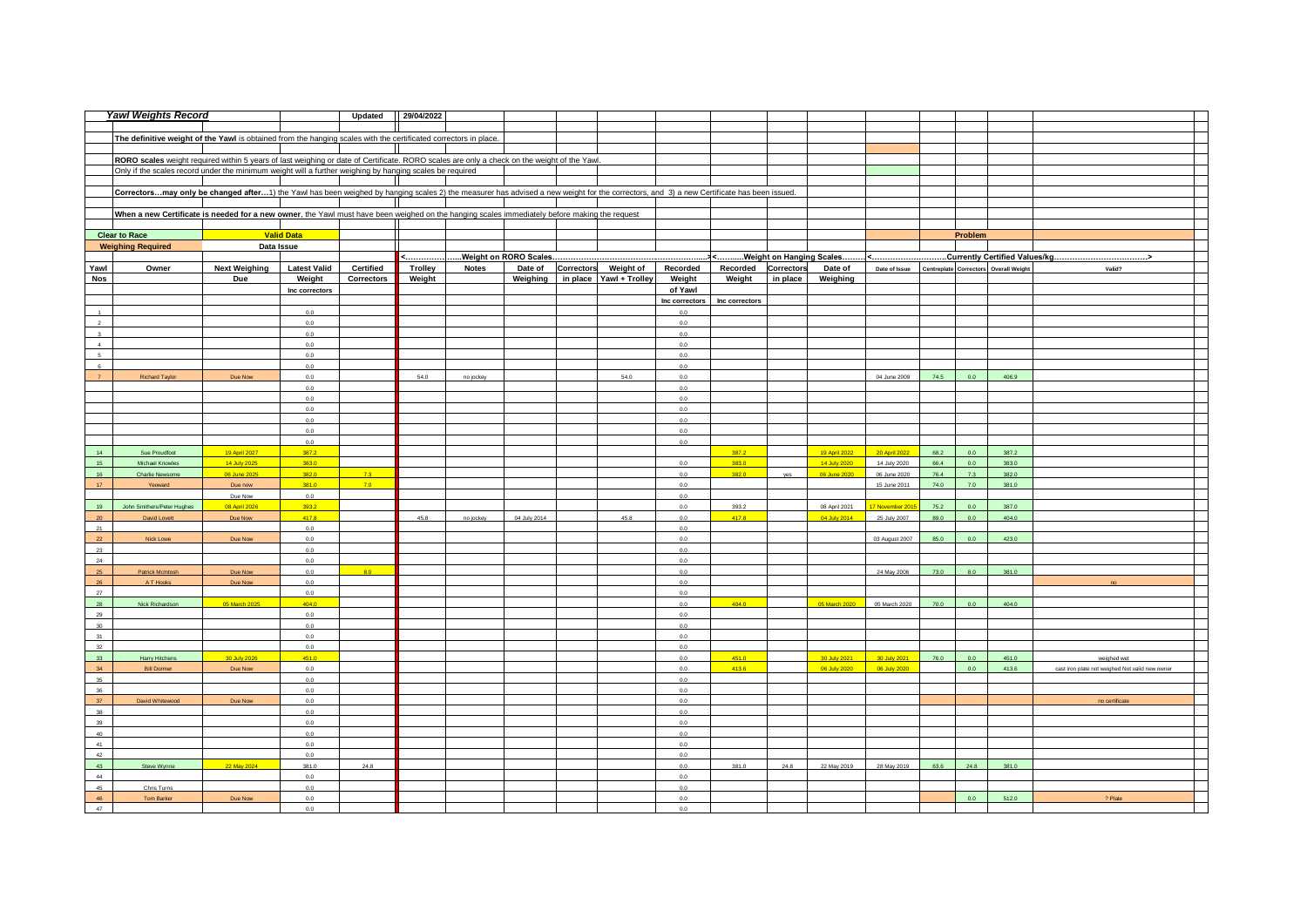|                       | <b>Yawl Weights Record</b>                                                                                                                                                               |                      |                       | Updated           | 29/04/2022     |              |              |                                  |                                       |                     |          |               |                                                           |              |            |                |                                                 |
|-----------------------|------------------------------------------------------------------------------------------------------------------------------------------------------------------------------------------|----------------------|-----------------------|-------------------|----------------|--------------|--------------|----------------------------------|---------------------------------------|---------------------|----------|---------------|-----------------------------------------------------------|--------------|------------|----------------|-------------------------------------------------|
|                       |                                                                                                                                                                                          |                      |                       |                   |                |              |              |                                  |                                       |                     |          |               |                                                           |              |            |                |                                                 |
|                       | The definitive weight of the Yawl is obtained from the hanging scales with the certificated correctors in place.                                                                         |                      |                       |                   |                |              |              |                                  |                                       |                     |          |               |                                                           |              |            |                |                                                 |
|                       |                                                                                                                                                                                          |                      |                       |                   |                |              |              |                                  |                                       |                     |          |               |                                                           |              |            |                |                                                 |
|                       | RORO scales weight required within 5 years of last weighing or date of Certificate. RORO scales are only a check on the weight of the Yawl.                                              |                      |                       |                   |                |              |              |                                  |                                       |                     |          |               |                                                           |              |            |                |                                                 |
|                       | Only if the scales record under the minimum weight will a further weighing by hanging scales be required                                                                                 |                      |                       |                   |                |              |              |                                  |                                       |                     |          |               |                                                           |              |            |                |                                                 |
|                       |                                                                                                                                                                                          |                      |                       |                   |                |              |              |                                  |                                       |                     |          |               |                                                           |              |            |                |                                                 |
|                       | Correctorsmay only be changed after1) the Yawl has been weighed by hanging scales 2) the measurer has advised a new weight for the correctors, and 3) a new Certificate has been issued. |                      |                       |                   |                |              |              |                                  |                                       |                     |          |               |                                                           |              |            |                |                                                 |
|                       |                                                                                                                                                                                          |                      |                       |                   |                |              |              |                                  |                                       |                     |          |               |                                                           |              |            |                |                                                 |
|                       | When a new Certificate is needed for a new owner, the Yawl must have been weighed on the hanging scales immediately before making the request                                            |                      |                       |                   |                |              |              |                                  |                                       |                     |          |               |                                                           |              |            |                |                                                 |
|                       |                                                                                                                                                                                          |                      |                       |                   |                |              |              |                                  |                                       |                     |          |               |                                                           |              |            |                |                                                 |
|                       | <b>Clear to Race</b>                                                                                                                                                                     |                      | <b>Valid Data</b>     |                   |                |              |              |                                  |                                       |                     |          |               |                                                           |              | Problem    |                |                                                 |
|                       | <b>Weighing Required</b>                                                                                                                                                                 | Data Issue           |                       |                   |                |              |              |                                  |                                       |                     |          |               |                                                           |              |            |                |                                                 |
|                       |                                                                                                                                                                                          |                      |                       |                   | <              |              |              |                                  |                                       |                     |          |               |                                                           |              |            |                |                                                 |
| Yawl                  | Owner                                                                                                                                                                                    | <b>Next Weighing</b> | <b>Latest Valid</b>   | Certified         | <b>Trolley</b> | <b>Notes</b> |              |                                  | Date of Correctors Weight of Recorded | Recorded Correctors |          | Date of       | Date of Issue   Centreplate   Correctors   Overall Weight |              |            |                | Valid?                                          |
| Nos                   |                                                                                                                                                                                          | Due                  | Weight                | <b>Correctors</b> | Weight         |              |              | Weighing in place Yawl + Trolley | Weight                                | Weight              | in place | Weighing      |                                                           |              |            |                |                                                 |
|                       |                                                                                                                                                                                          |                      | Inc correctors        |                   |                |              |              |                                  | of Yawl                               |                     |          |               |                                                           |              |            |                |                                                 |
|                       |                                                                                                                                                                                          |                      |                       |                   |                |              |              |                                  | Inc correctors                        | Inc correctors      |          |               |                                                           |              |            |                |                                                 |
| $\mathbf{1}$          |                                                                                                                                                                                          |                      | 0.0                   |                   |                |              |              |                                  | 0.0                                   |                     |          |               |                                                           |              |            |                |                                                 |
| $\,$ 2 $\,$           |                                                                                                                                                                                          |                      | 0.0                   |                   |                |              |              |                                  | 0.0                                   |                     |          |               |                                                           |              |            |                |                                                 |
| $3 -$                 |                                                                                                                                                                                          |                      | 0.0                   |                   |                |              |              |                                  | 0.0                                   |                     |          |               |                                                           |              |            |                |                                                 |
| $\overline{4}$        |                                                                                                                                                                                          |                      | 0.0                   |                   |                |              |              |                                  | 0.0                                   |                     |          |               |                                                           |              |            |                |                                                 |
| 5                     |                                                                                                                                                                                          |                      | 0.0                   |                   |                |              |              |                                  | 0.0                                   |                     |          |               |                                                           |              |            |                |                                                 |
| 6                     |                                                                                                                                                                                          |                      | 0.0                   |                   |                |              |              |                                  | 0.0                                   |                     |          |               |                                                           |              |            |                |                                                 |
| $\overline{7}$        | <b>Richard Taylor</b>                                                                                                                                                                    | Due Now              | 0.0                   |                   | 54.0           | no jockey    |              | 54.0                             | 0.0                                   |                     |          |               | 04 June 2009                                              | 74.5         | 0.0        | 406.9          |                                                 |
|                       |                                                                                                                                                                                          |                      | 0.0                   |                   |                |              |              |                                  | 0.0                                   |                     |          |               |                                                           |              |            |                |                                                 |
|                       |                                                                                                                                                                                          |                      | $0.0\,$               |                   |                |              |              |                                  | $0.0\,$                               |                     |          |               |                                                           |              |            |                |                                                 |
|                       |                                                                                                                                                                                          |                      | $0.0\,$               |                   |                |              |              |                                  | 0.0                                   |                     |          |               |                                                           |              |            |                |                                                 |
|                       |                                                                                                                                                                                          |                      | 0.0                   |                   |                |              |              |                                  | 0.0                                   |                     |          |               |                                                           |              |            |                |                                                 |
|                       |                                                                                                                                                                                          |                      | 0.0                   |                   |                |              |              |                                  | 0.0                                   |                     |          |               |                                                           |              |            |                |                                                 |
|                       |                                                                                                                                                                                          |                      | 0.0                   |                   |                |              |              |                                  | 0.0                                   |                     |          |               |                                                           |              |            |                |                                                 |
| 14 <sup>°</sup>       | Sue Proudfoot                                                                                                                                                                            | 19 April 2027        | 387.2                 |                   |                |              |              |                                  |                                       | 387.2               |          | 19 April 2022 | 20 April 2022                                             | 68.2         | 0.0        | 387.2          |                                                 |
| 15 <sup>°</sup>       | Michael Knowles                                                                                                                                                                          | 14 July 2025         | 383.0                 |                   |                |              |              |                                  | 0.0                                   | 383.0               |          | 14 July 2020  | 14 July 2020                                              | 66.4         | 0.0<br>7.3 | 383.0          |                                                 |
| 16<br>17 <sup>°</sup> | Charlie Newsome                                                                                                                                                                          | 06 June 2025         | 382.0                 | 7.3<br>7.0        |                |              |              |                                  | $0.0\,$                               | 382.0               | yes      | 06 June 2020  | 06 June 2020<br>15 June 2011                              | 76.4<br>74.0 | 7.0        | 382.0<br>381.0 |                                                 |
|                       | Yeoward                                                                                                                                                                                  | Due now<br>Due Now   | 381.0<br>0.0          |                   |                |              |              |                                  | 0.0<br>0.0                            |                     |          |               |                                                           |              |            |                |                                                 |
| 19                    | John Smithers/Peter Hughes                                                                                                                                                               | 08 April 2026        | 393.2                 |                   |                |              |              |                                  | 0.0                                   | 393.2               |          | 08 April 2021 | 17 November 201                                           | 75.2         | 0.0        | 387.0          |                                                 |
| 20 <sup>°</sup>       | David Lovett                                                                                                                                                                             | Due Now              | 417.8                 |                   | 45.8           | no jockey    | 04 July 2014 | 45.8                             | 0.0                                   | 417.8               |          | 04 July 2014  | 25 July 2007                                              | 89.0         | 0.0        | 404.0          |                                                 |
| 21                    |                                                                                                                                                                                          |                      | 0.0                   |                   |                |              |              |                                  | 0.0                                   |                     |          |               |                                                           |              |            |                |                                                 |
| 22                    | Nick Lowe                                                                                                                                                                                | Due Now              | 0.0                   |                   |                |              |              |                                  | 0.0                                   |                     |          |               | 03 August 2007                                            | 85.0         | 0.0        | 423.0          |                                                 |
| 23                    |                                                                                                                                                                                          |                      | 0.0                   |                   |                |              |              |                                  | 0.0                                   |                     |          |               |                                                           |              |            |                |                                                 |
| 24                    |                                                                                                                                                                                          |                      | 0.0                   |                   |                |              |              |                                  | 0.0                                   |                     |          |               |                                                           |              |            |                |                                                 |
| 25                    | Patrick McIntosh                                                                                                                                                                         | Due Now              | 0.0                   | 80                |                |              |              |                                  | 0.0                                   |                     |          |               | 24 May 2006                                               | 73.0         | 8.0        | 381.0          |                                                 |
| 26                    | A T Hooks                                                                                                                                                                                | Due Now              | 0.0                   |                   |                |              |              |                                  | 0.0                                   |                     |          |               |                                                           |              |            |                |                                                 |
| 27                    |                                                                                                                                                                                          |                      | 0.0                   |                   |                |              |              |                                  | 0.0                                   |                     |          |               |                                                           |              |            |                |                                                 |
| 28                    | Nick Richardson                                                                                                                                                                          | 05 March 2025        | 404.0                 |                   |                |              |              |                                  | 0.0                                   | 404.0               |          | 05 March 2020 | 05 March 2020                                             | 70.0         | 0.0        | 404.0          |                                                 |
| 29                    |                                                                                                                                                                                          |                      | 0.0                   |                   |                |              |              |                                  | 0.0                                   |                     |          |               |                                                           |              |            |                |                                                 |
| 30 <sup>°</sup>       |                                                                                                                                                                                          |                      | 0.0                   |                   |                |              |              |                                  | 0.0                                   |                     |          |               |                                                           |              |            |                |                                                 |
| 31                    |                                                                                                                                                                                          |                      | 0.0                   |                   |                |              |              |                                  | 0.0                                   |                     |          |               |                                                           |              |            |                |                                                 |
| 32                    |                                                                                                                                                                                          |                      | 0.0                   |                   |                |              |              |                                  | 0.0                                   |                     |          |               |                                                           |              |            |                |                                                 |
| 33                    | Harry Hitchens                                                                                                                                                                           | 30 July 2026         | 451.0                 |                   |                |              |              |                                  | 0.0                                   | 451.0               |          | 30 July 2021  | 30 July 2021                                              | 76.0         | 0.0        | 451.0          | weighed wet                                     |
| 34                    | <b>Bill Dormer</b>                                                                                                                                                                       | Due Now              | 0.0                   |                   |                |              |              |                                  | 0.0                                   | 413.6               |          |               | 06 July 2020 06 July 2020                                 |              | 0.0        | 413.6          | cast iron plate not weighed Not valid new owner |
| 35                    |                                                                                                                                                                                          |                      | 0.0                   |                   |                |              |              |                                  | 0.0                                   |                     |          |               |                                                           |              |            |                |                                                 |
| 36 <sup>°</sup>       |                                                                                                                                                                                          |                      | 0.0                   |                   |                |              |              |                                  | 0.0                                   |                     |          |               |                                                           |              |            |                |                                                 |
| 37                    | David Whitewood                                                                                                                                                                          | Due Now              | 0.0                   |                   |                |              |              |                                  | 0.0                                   |                     |          |               |                                                           |              |            |                | no certificate                                  |
| 38                    |                                                                                                                                                                                          |                      | 0.0                   |                   |                |              |              |                                  | 0.0                                   |                     |          |               |                                                           |              |            |                |                                                 |
| 39<br>40              |                                                                                                                                                                                          |                      | 0.0<br>0.0            |                   |                |              |              |                                  | 0.0<br>0.0                            |                     |          |               |                                                           |              |            |                |                                                 |
|                       |                                                                                                                                                                                          |                      |                       |                   |                |              |              |                                  |                                       |                     |          |               |                                                           |              |            |                |                                                 |
| 41<br>42              |                                                                                                                                                                                          |                      | 0.0<br>0 <sub>0</sub> |                   |                |              |              |                                  | 0.0<br>0.0                            |                     |          |               |                                                           |              |            |                |                                                 |
| 43                    | Steve Wynne                                                                                                                                                                              | 22 May 2024          | 381.0                 | 24.8              |                |              |              |                                  | 0.0                                   | 381.0               | 24.8     | 22 May 2019   | 28 May 2019                                               | 63.6         | 24.8       | 381.0          |                                                 |
| $44-$                 |                                                                                                                                                                                          |                      | 0.0                   |                   |                |              |              |                                  | 0.0                                   |                     |          |               |                                                           |              |            |                |                                                 |
| 45                    | Chris Turns                                                                                                                                                                              |                      | 0.0                   |                   |                |              |              |                                  | 0.0                                   |                     |          |               |                                                           |              |            |                |                                                 |
| 46                    | <b>Tom Barker</b>                                                                                                                                                                        | Due Now              | 0.0                   |                   |                |              |              |                                  | 0.0                                   |                     |          |               |                                                           |              | 0.0        | 512.0          | 2 Plate                                         |
| 47                    |                                                                                                                                                                                          |                      | 0.0                   |                   |                |              |              |                                  | 0.0                                   |                     |          |               |                                                           |              |            |                |                                                 |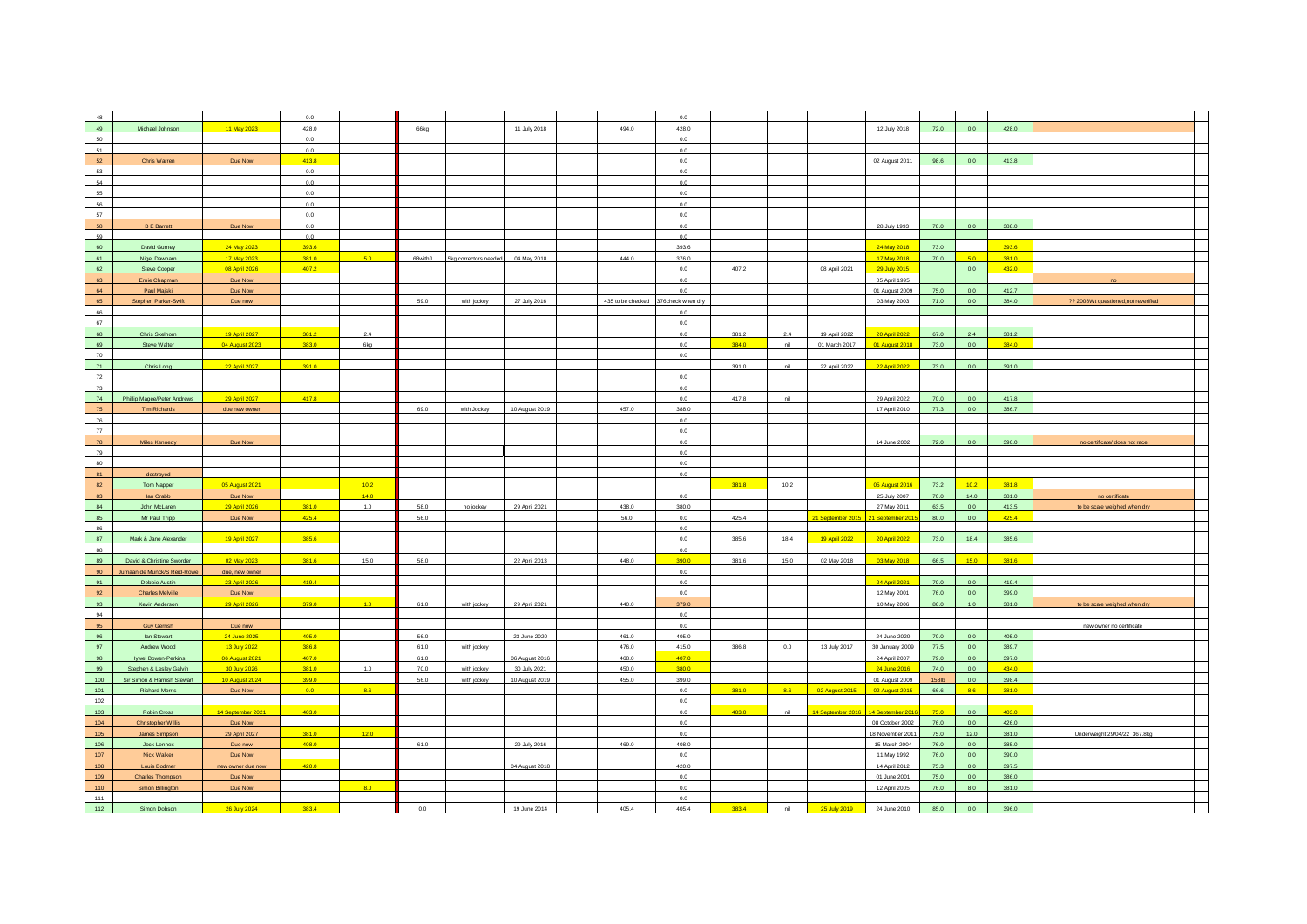| 48  |                               |                   | 0.0     |        |      |                               |                |       | 0.0                                  |       |      |                   |                                     |       |                |       |                                      |  |
|-----|-------------------------------|-------------------|---------|--------|------|-------------------------------|----------------|-------|--------------------------------------|-------|------|-------------------|-------------------------------------|-------|----------------|-------|--------------------------------------|--|
| 49  | Michael Johnson               | 11 May 2023       | 428.0   |        | 66kg |                               | 11 July 2018   | 494.0 | 428.0                                |       |      |                   | 12 July 2018                        | 72.0  | 0.0            | 428.0 |                                      |  |
| 50  |                               |                   |         |        |      |                               |                |       | 0.0                                  |       |      |                   |                                     |       |                |       |                                      |  |
|     |                               |                   | 0.0     |        |      |                               |                |       |                                      |       |      |                   |                                     |       |                |       |                                      |  |
| 51  |                               |                   | $0.0\,$ |        |      |                               |                |       | 0.0                                  |       |      |                   |                                     |       |                |       |                                      |  |
| 52  | Chris Warren                  | Due Now           | 413.8   |        |      |                               |                |       | 0.0                                  |       |      |                   | 02 August 2011                      | 98.6  | 0.0            | 413.8 |                                      |  |
|     |                               |                   |         |        |      |                               |                |       |                                      |       |      |                   |                                     |       |                |       |                                      |  |
| 53  |                               |                   | 0.0     |        |      |                               |                |       | 0.0                                  |       |      |                   |                                     |       |                |       |                                      |  |
| 54  |                               |                   | $0.0\,$ |        |      |                               |                |       | 0.0                                  |       |      |                   |                                     |       |                |       |                                      |  |
| 55  |                               |                   | 0.0     |        |      |                               |                |       | 0.0                                  |       |      |                   |                                     |       |                |       |                                      |  |
|     |                               |                   |         |        |      |                               |                |       |                                      |       |      |                   |                                     |       |                |       |                                      |  |
| 56  |                               |                   | 0.0     |        |      |                               |                |       | 0.0                                  |       |      |                   |                                     |       |                |       |                                      |  |
| 57  |                               |                   | 0.0     |        |      |                               |                |       | 0.0                                  |       |      |                   |                                     |       |                |       |                                      |  |
|     |                               |                   |         |        |      |                               |                |       |                                      |       |      |                   |                                     |       |                |       |                                      |  |
| 58  | <b>B E Barrett</b>            | Due Now           | $0.0\,$ |        |      |                               |                |       | 0.0                                  |       |      |                   | 28 July 1993                        | 78.0  | 0.0            | 388.0 |                                      |  |
| 59  |                               |                   | 0.0     |        |      |                               |                |       | 0.0                                  |       |      |                   |                                     |       |                |       |                                      |  |
| 60  | David Gurney                  | 24 May 2023       | 393.6   |        |      |                               |                |       | 393.6                                |       |      |                   | 24 May 2018                         | 73.0  |                | 393.6 |                                      |  |
|     |                               |                   |         |        |      |                               |                |       |                                      |       |      |                   |                                     |       |                |       |                                      |  |
| 61  | Nigel Dawbarn                 | 17 May 2023       | 381.0   | 5.0    |      | 68withJ 5kg correctors needed | 04 May 2018    | 444.0 | 376.0                                |       |      |                   | 17 May 2018                         | 70.0  | 5.0            | 381.0 |                                      |  |
| 62  |                               |                   | 407.2   |        |      |                               |                |       | 0.0                                  | 407.2 |      | 08 April 2021     |                                     |       | 0.0            | 432.0 |                                      |  |
|     | Steve Cooper                  | 08 April 2026     |         |        |      |                               |                |       |                                      |       |      |                   | 29 July 2015                        |       |                |       |                                      |  |
| 63  | Ernie Chapman                 | Due Now           |         |        |      |                               |                |       | 0.0                                  |       |      |                   | 05 April 1995                       |       |                |       | no                                   |  |
| 64  | Paul Majski                   | Due Now           |         |        |      |                               |                |       | 0.0                                  |       |      |                   | 01 August 2009                      | 75.0  | 0.0            | 412.7 |                                      |  |
| 65  |                               |                   |         |        | 59.0 |                               |                |       |                                      |       |      |                   |                                     | 71.0  | 0.0            | 384.0 |                                      |  |
|     | Stephen Parker-Swift          | Due now           |         |        |      | with jockey                   | 27 July 2016   |       | 435 to be checked 376 check when dry |       |      |                   | 03 May 2003                         |       |                |       | ?? 2008Wt questioned, not reverified |  |
| 66  |                               |                   |         |        |      |                               |                |       | 0.0                                  |       |      |                   |                                     |       |                |       |                                      |  |
| 67  |                               |                   |         |        |      |                               |                |       | 0.0                                  |       |      |                   |                                     |       |                |       |                                      |  |
|     |                               |                   |         |        |      |                               |                |       |                                      |       |      |                   |                                     |       |                |       |                                      |  |
| 68  | Chris Skelhorn                | 19 April 2027     | 381.2   | 2.4    |      |                               |                |       | 0.0                                  | 381.2 | 2.4  | 19 April 2022     | 20 April 2022                       | 67.0  | $2.4\,$        | 381.2 |                                      |  |
| 69  | Steve Walter                  | 04 August 2023    | 383.0   | 6kg    |      |                               |                |       | 0.0                                  | 384.0 | nil  | 01 March 2017     | 01 August 2018                      | 73.0  | 0.0            | 384.0 |                                      |  |
|     |                               |                   |         |        |      |                               |                |       |                                      |       |      |                   |                                     |       |                |       |                                      |  |
| 70  |                               |                   |         |        |      |                               |                |       | 0.0                                  |       |      |                   |                                     |       |                |       |                                      |  |
| 71  | Chris Long                    | 22 April 2027     | 391.0   |        |      |                               |                |       |                                      | 391.0 | nil  | 22 April 2022     | 22 April 2022                       | 73.0  | 0.0            | 391.0 |                                      |  |
| 72  |                               |                   |         |        |      |                               |                |       | 0.0                                  |       |      |                   |                                     |       |                |       |                                      |  |
|     |                               |                   |         |        |      |                               |                |       |                                      |       |      |                   |                                     |       |                |       |                                      |  |
| 73  |                               |                   |         |        |      |                               |                |       | 0.0                                  |       |      |                   |                                     |       |                |       |                                      |  |
| 74  | Phillip Magee/Peter Andrews   | 29 April 2027     | 417.8   |        |      |                               |                |       | 0.0                                  | 417.8 | nil  |                   | 29 April 2022                       | 70.0  | 0.0            | 417.8 |                                      |  |
|     |                               |                   |         |        |      |                               |                |       |                                      |       |      |                   |                                     |       |                |       |                                      |  |
| 75  | <b>Tim Richards</b>           | due new owner     |         |        | 69.0 | with Jockey                   | 10 August 2019 | 457.0 | 388.0                                |       |      |                   | 17 April 2010                       | 77.3  | 0.0            | 386.7 |                                      |  |
| 76  |                               |                   |         |        |      |                               |                |       | 0.0                                  |       |      |                   |                                     |       |                |       |                                      |  |
| 77  |                               |                   |         |        |      |                               |                |       | 0.0                                  |       |      |                   |                                     |       |                |       |                                      |  |
|     |                               |                   |         |        |      |                               |                |       |                                      |       |      |                   |                                     |       |                |       |                                      |  |
| 78  | Miles Kennedy                 | Due Now           |         |        |      |                               |                |       | 0.0                                  |       |      |                   | 14 June 2002                        | 72.0  | 0.0            | 390.0 | no certificate/ does not race        |  |
| 79  |                               |                   |         |        |      |                               |                |       | 0.0                                  |       |      |                   |                                     |       |                |       |                                      |  |
|     |                               |                   |         |        |      |                               |                |       |                                      |       |      |                   |                                     |       |                |       |                                      |  |
| 80  |                               |                   |         |        |      |                               |                |       | 0.0                                  |       |      |                   |                                     |       |                |       |                                      |  |
| 81  | destroyed                     |                   |         |        |      |                               |                |       | 0.0                                  |       |      |                   |                                     |       |                |       |                                      |  |
|     |                               |                   |         |        |      |                               |                |       |                                      |       |      |                   |                                     |       |                |       |                                      |  |
| 82  | Tom Napper                    | 05 August 2021    |         | 10.2   |      |                               |                |       |                                      | 381.8 | 10.2 |                   | 05 August 2016                      | 73.2  | 10.2           | 381.8 |                                      |  |
| 83  | lan Crabb                     | Due Now           |         | 14.0   |      |                               |                |       | 0.0                                  |       |      |                   | 25 July 2007                        | 70.0  | 14.0           | 381.0 | no certificate                       |  |
| 84  | John McLaren                  | 29 April 2026     | 381.0   | 1.0    | 58.0 | no jockey                     | 29 April 2021  | 438.0 | 380.0                                |       |      |                   | 27 May 2011                         | 63.5  | 0.0            | 413.5 |                                      |  |
|     |                               |                   |         |        |      |                               |                |       |                                      |       |      |                   |                                     |       |                |       | to be scale weighed when dry         |  |
| 85  | Mr Paul Tripp                 | Due Now           | 425.4   |        | 56.0 |                               |                | 56.0  | 0.0                                  | 425.4 |      | 21 September 2015 | 21 September 201                    | 80.0  | 0.0            | 425.4 |                                      |  |
| 86  |                               |                   |         |        |      |                               |                |       | 0.0                                  |       |      |                   |                                     |       |                |       |                                      |  |
|     |                               |                   |         |        |      |                               |                |       |                                      |       |      |                   |                                     |       |                |       |                                      |  |
| 87  | Mark & Jane Alexander         | 19 April 2027     | 385.6   |        |      |                               |                |       | 0.0                                  | 385.6 | 18.4 | 19 April 2022     | 20 April 2022                       | 73.0  | 18.4           | 385.6 |                                      |  |
| 88  |                               |                   |         |        |      |                               |                |       | 0.0                                  |       |      |                   |                                     |       |                |       |                                      |  |
| 89  |                               |                   |         |        |      |                               |                |       |                                      |       |      |                   |                                     |       |                |       |                                      |  |
|     | David & Christine Sworder     | 02 May 2023       | 381.6   | 15.0   | 58.0 |                               | 22 April 2013  | 448.0 | 390.0                                | 381.6 | 15.0 | 02 May 2018       | 03 May 2018                         | 66.5  | 15.0           | 381.6 |                                      |  |
| 90  | Jurriaan de Munck/S Reid-Rowe | due, new owner    |         |        |      |                               |                |       | 0.0                                  |       |      |                   |                                     |       |                |       |                                      |  |
| 91  | Debbie Austin                 | 23 April 2026     | 419.4   |        |      |                               |                |       | 0.0                                  |       |      |                   | 24 April 2021                       | 70.0  | 0.0            | 419.4 |                                      |  |
|     |                               |                   |         |        |      |                               |                |       |                                      |       |      |                   |                                     |       |                |       |                                      |  |
| 92  | <b>Charles Melville</b>       | Due Now           |         |        |      |                               |                |       | 0.0                                  |       |      |                   | 12 May 2001                         | 76.0  | 0.0            | 399.0 |                                      |  |
| 93  | Kevin Anderson                | 29 April 2026     | 379.0   | $-1.0$ | 61.0 | with jockey                   | 29 April 2021  | 440.0 | 379.0                                |       |      |                   | 10 May 2006                         | 86.0  | $1.0$          | 381.0 | to be scale weighed when dry         |  |
|     |                               |                   |         |        |      |                               |                |       | 0.0                                  |       |      |                   |                                     |       |                |       |                                      |  |
| 94  |                               |                   |         |        |      |                               |                |       |                                      |       |      |                   |                                     |       |                |       |                                      |  |
| 95  | <b>Guy Gerrish</b>            | Due now           |         |        |      |                               |                |       | 0.0                                  |       |      |                   |                                     |       |                |       | new owner no certificate             |  |
| 96  | lan Stewart                   | 24 June 2025      | 405.0   |        | 56.0 |                               | 23 June 2020   | 461.0 | 405.0                                |       |      |                   | 24 June 2020                        | 70.0  | 0.0            | 405.0 |                                      |  |
|     |                               |                   |         |        |      |                               |                |       |                                      |       |      |                   |                                     |       |                |       |                                      |  |
| 97  | Andrew Wood                   | 13 July 2022      | 386.8   |        | 61.0 | with jockey                   |                | 476.0 | 415.0                                | 386.8 | 0.0  | 13 July 2017      | 30 January 2009                     | 77.5  | 0.0            | 389.7 |                                      |  |
| 98  | Hywel Bowen-Perkins           | 06 August 2021    | 407.0   |        | 61.0 |                               | 06 August 2016 | 468.0 | 407.0                                |       |      |                   | 24 April 2007                       | 79.0  | $0.0\,$        | 397.0 |                                      |  |
|     |                               |                   |         |        |      |                               |                |       |                                      |       |      |                   |                                     |       |                |       |                                      |  |
| 99  | Stephen & Lesley Galvin       | 30 July 2026      | 381.0   | 1.0    | 70.0 | with jockey                   | 30 July 2021   | 450.0 | 380.0                                |       |      |                   | 24 June 2016                        | 74.0  | 0.0            | 434.0 |                                      |  |
| 100 | Sir Simon & Hamish Stewart    | 10 August 2024    | 399.0   |        | 56.0 | with jockey                   | 10 August 2019 | 455.0 | 399.0                                |       |      |                   | 01 August 2009                      | 158lb | 0.0            | 398.4 |                                      |  |
| 101 |                               |                   | 0.0     | 8.6    |      |                               |                |       | 0.0                                  | 381.0 | 8.6  |                   |                                     | 66.6  | 8.6            | 381.0 |                                      |  |
|     | <b>Richard Morris</b>         | Due Now           |         |        |      |                               |                |       |                                      |       |      | 02 August 2015    | 02 August 2015                      |       |                |       |                                      |  |
| 102 |                               |                   |         |        |      |                               |                |       | 0.0                                  |       |      |                   |                                     |       |                |       |                                      |  |
| 103 | Robin Cross                   | 14 September 2021 | 403.0   |        |      |                               |                |       | 0.0                                  | 403.0 | nil  |                   | 14 September 2016 14 September 2016 | 75.0  | 0.0            | 403.0 |                                      |  |
|     |                               |                   |         |        |      |                               |                |       |                                      |       |      |                   |                                     |       |                |       |                                      |  |
| 104 |                               | Due Now           |         |        |      |                               |                |       | 0.0                                  |       |      |                   | 08 October 2002                     | 76.0  | 0.0            | 426.0 |                                      |  |
|     | <b>Christopher Willis</b>     |                   |         |        |      |                               |                |       | 0.0                                  |       |      |                   | 18 November 2011                    | 75.0  | 12.0           | 381.0 | Underweight 29/04/22 367.8kg         |  |
|     |                               |                   |         |        |      |                               |                |       |                                      |       |      |                   |                                     |       |                |       |                                      |  |
| 105 | James Simpson                 | 29 April 2027     | 381.0   | 12.0   |      |                               |                |       |                                      |       |      |                   |                                     |       |                |       |                                      |  |
| 106 | Jock Lennox                   | Due now           | 408.0   |        | 61.0 |                               | 29 July 2016   | 469.0 | 408.0                                |       |      |                   | 15 March 2004                       | 76.0  | 0.0            | 385.0 |                                      |  |
| 107 | Nick Walker                   | Due Now           |         |        |      |                               |                |       | 0.0                                  |       |      |                   | 11 May 1992                         | 76.0  | 0.0            | 390.0 |                                      |  |
|     |                               |                   |         |        |      |                               |                |       |                                      |       |      |                   |                                     |       |                |       |                                      |  |
| 108 | Louis Bodme                   | new owner due now | 420.0   |        |      |                               | 04 August 2018 |       | 420.0                                |       |      |                   | 14 April 2012                       | 75.3  | 0 <sub>0</sub> | 397.5 |                                      |  |
| 109 | <b>Charles Thompson</b>       | Due Now           |         |        |      |                               |                |       | 0.0                                  |       |      |                   | 01 June 2001                        | 75.0  | $0.0\,$        | 386.0 |                                      |  |
|     |                               |                   |         |        |      |                               |                |       |                                      |       |      |                   |                                     |       |                |       |                                      |  |
| 110 | <b>Simon Billington</b>       | Due Now           |         | 8.0    |      |                               |                |       | 0.0                                  |       |      |                   | 12 April 2005                       | 76.0  | 8.0            | 381.0 |                                      |  |
| 111 |                               |                   |         |        |      |                               |                |       | 0.0                                  |       |      |                   |                                     |       |                |       |                                      |  |
| 112 | Simon Dobson                  | 26 July 2024      | 383.4   |        | 0.0  |                               | 19 June 2014   | 405.4 | 405.4                                | 383.4 | nil  | 25 July 2019      | 24 June 2010                        | 85.0  | 0.0            | 396.0 |                                      |  |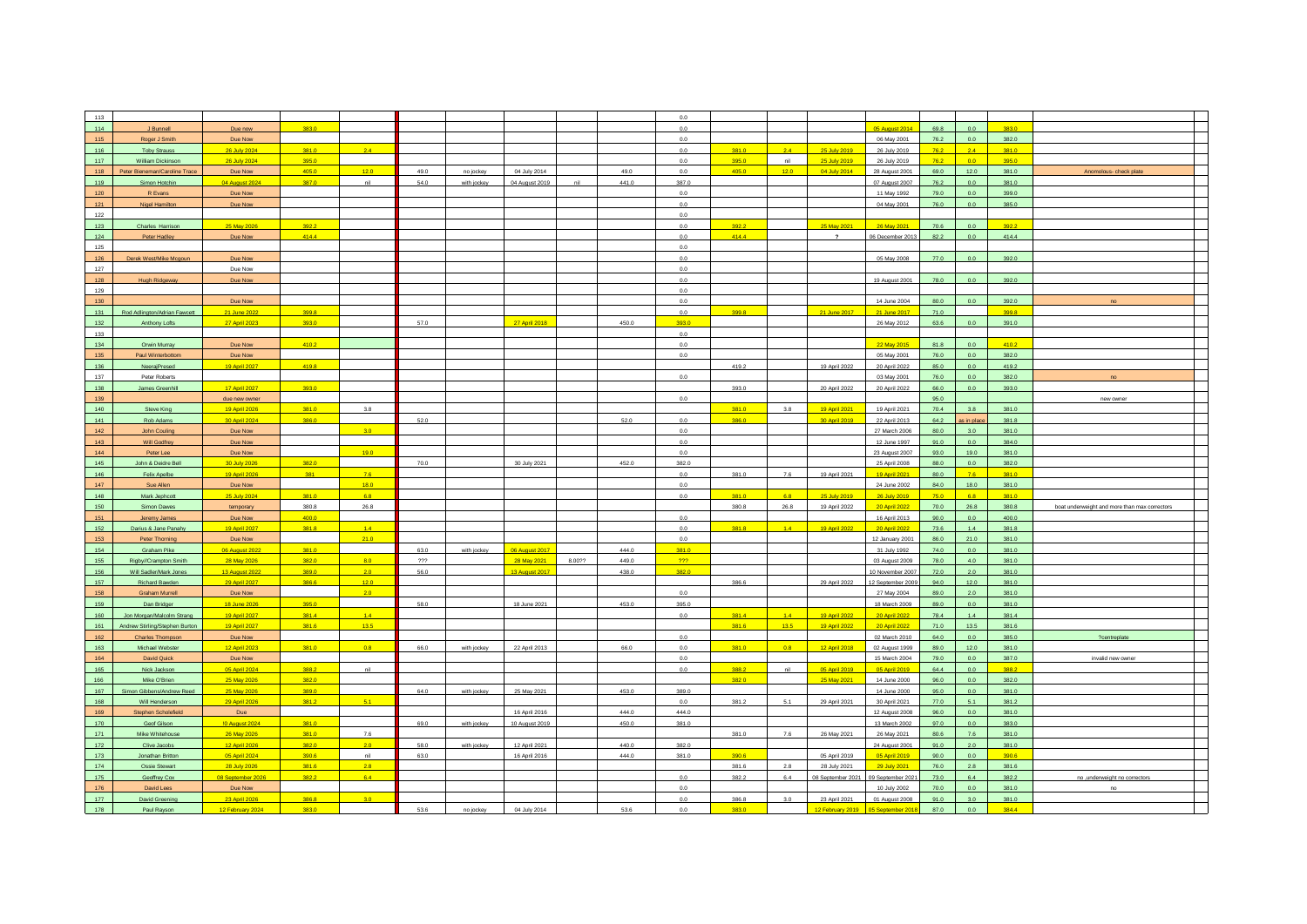| 113        |                                      |                                   |                |                  |      |                               |               |                 | 0.0        |                |         |                                                     |                   |              |            |                |                                               |  |
|------------|--------------------------------------|-----------------------------------|----------------|------------------|------|-------------------------------|---------------|-----------------|------------|----------------|---------|-----------------------------------------------------|-------------------|--------------|------------|----------------|-----------------------------------------------|--|
| 114        | J Bunnell                            | Due now                           | 383.0          |                  |      |                               |               |                 | 0.0        |                |         |                                                     | 05 August 2014    | 69.8         | 0.0        | 383.0          |                                               |  |
| 115        |                                      |                                   |                |                  |      |                               |               |                 | 0.0        |                |         |                                                     |                   | 76.2         | 0.0        | 382.0          |                                               |  |
|            | Roger J Smith                        | Due Now                           |                |                  |      |                               |               |                 |            |                |         |                                                     | 06 May 2001       |              |            |                |                                               |  |
| 116        | <b>Toby Strauss</b>                  | 26 July 2024                      | 381.0          | 2.4              |      |                               |               |                 | 0.0        | 381.0          | $2.4 -$ | 25 July 2019                                        | 26 July 2019      | 76.2         | 2.4        | 381.0          |                                               |  |
| 117        | <b>William Dickinson</b>             | 26 July 2024                      | 395.0          |                  |      |                               |               |                 | 0.0        | 395.0          | nil     | 25 July 2019                                        | 26 July 2019      | 76.2         | 0.0        | 395.0          |                                               |  |
| 118        | Peter Bieneman/Caroline Trace        | Due Now                           | 405.0          | 12.0             | 49.0 | no jockey                     | 04 July 2014  | 49.0            | 0.0        | 405.0          | 12.0    | 04 July 2014                                        | 28 August 2001    | 69.0         | 12.0       | 381.0          | Anomolous- check plate                        |  |
|            |                                      |                                   |                |                  |      |                               |               |                 |            |                |         |                                                     |                   |              |            |                |                                               |  |
| 119        | Simon Hotchin                        | 04 August 2024                    | 387.0          | nil              | 54.0 | with jockey<br>04 August 2019 |               | nil<br>441.0    | 387.0      |                |         |                                                     | 07 August 2007    | 76.2         | 0.0        | 381.0          |                                               |  |
| $120$      | R Evans                              | Due Now                           |                |                  |      |                               |               |                 | 0.0        |                |         |                                                     | 11 May 1992       | 79.0         | 0.0        | 399.0          |                                               |  |
| 121        | <b>Nigel Hamilton</b>                | Due Now                           |                |                  |      |                               |               |                 | 0.0        |                |         |                                                     | 04 May 2001       | 76.0         | 0.0        | 385.0          |                                               |  |
| 122        |                                      |                                   |                |                  |      |                               |               |                 | 0.0        |                |         |                                                     |                   |              |            |                |                                               |  |
|            |                                      |                                   |                |                  |      |                               |               |                 |            |                |         |                                                     |                   |              |            |                |                                               |  |
| 123        | Charles Harrison                     | 25 May 2026                       | 392.2          |                  |      |                               |               |                 | 0.0        | 392.2          |         | 25 May 2021                                         | 26 May 2021       | 70.6         | $0.0\,$    | 392.2          |                                               |  |
| 124        | Peter Hadley                         | Due Now                           | 414.4          |                  |      |                               |               |                 | 0.0        | 414.4          |         | $\overline{?}$                                      | 06 December 2013  | 82.2         | 0.0        | 414.4          |                                               |  |
| 125        |                                      |                                   |                |                  |      |                               |               |                 | 0.0        |                |         |                                                     |                   |              |            |                |                                               |  |
| 126        | Derek West/Mike Mcgoun               | Due Now                           |                |                  |      |                               |               |                 | 0.0        |                |         |                                                     | 05 May 2008       | 77.0         | 0.0        | 392.0          |                                               |  |
|            |                                      |                                   |                |                  |      |                               |               |                 |            |                |         |                                                     |                   |              |            |                |                                               |  |
| 127        |                                      | Due Now                           |                |                  |      |                               |               |                 | 0.0        |                |         |                                                     |                   |              |            |                |                                               |  |
| 128        | <b>Hugh Ridgeway</b>                 | Due Now                           |                |                  |      |                               |               |                 | 0.0        |                |         |                                                     | 19 August 2001    | 78.0         | $0.0\,$    | 392.0          |                                               |  |
| 129        |                                      |                                   |                |                  |      |                               |               |                 | 0.0        |                |         |                                                     |                   |              |            |                |                                               |  |
| 130        |                                      | Due Now                           |                |                  |      |                               |               |                 | 0.0        |                |         |                                                     | 14 June 2004      | 80.0         | 0.0        | 392.0          |                                               |  |
|            |                                      |                                   |                |                  |      |                               |               |                 |            |                |         |                                                     |                   |              |            |                |                                               |  |
| 131        | Rod Adlington/Adrian Fawcett         | 21 June 2022                      | 399.8          |                  |      |                               |               |                 | 0.0        | 399.8          |         | 21 June 2017                                        | 21 June 2017      | 71.0         |            | 399.8          |                                               |  |
| 132        | Anthony Lofts                        | 27 April 2023                     | 393.0          |                  | 57.0 |                               | 27 April 2018 | 450.0           | 393.0      |                |         |                                                     | 26 May 2012       | 63.6         | 0.0        | 391.0          |                                               |  |
| 133        |                                      |                                   |                |                  |      |                               |               |                 | 0.0        |                |         |                                                     |                   |              |            |                |                                               |  |
|            |                                      |                                   |                |                  |      |                               |               |                 |            |                |         |                                                     |                   |              |            |                |                                               |  |
| 134        | Orwin Murray                         | Due Now                           | 410.2          |                  |      |                               |               |                 | 0.0        |                |         |                                                     | 22 May 2015       | 81.8         | 0.0        | 410.2          |                                               |  |
| 135        | Paul Winterbottom                    | Due Now                           |                |                  |      |                               |               |                 | 0.0        |                |         |                                                     | 05 May 2001       | 76.0         | 0.0        | 382.0          |                                               |  |
| 136        | NeerajPresed                         | 19 April 2027                     | 419.8          |                  |      |                               |               |                 |            | 419.2          |         | 19 April 2022                                       | 20 April 2022     | 85.0         | 0.0        | 419.2          |                                               |  |
| 137        | Peter Roberts                        |                                   |                |                  |      |                               |               |                 | 0.0        |                |         |                                                     | 03 May 2001       | 76.0         | 0.0        | 382.0          |                                               |  |
|            |                                      |                                   |                |                  |      |                               |               |                 |            |                |         |                                                     |                   |              |            |                |                                               |  |
| 138        | James Greenhill                      | 17 April 2027                     | 393.0          |                  |      |                               |               |                 |            | 393.0          |         | 20 April 2022                                       | 20 April 2022     | 66.0         | 0.0        | 393.0          |                                               |  |
| 139        |                                      | due new owner                     |                |                  |      |                               |               |                 | 0.0        |                |         |                                                     |                   | 95.0         |            |                | new owner                                     |  |
| 140        | Steve King                           | 19 April 2026                     | 381.0          | 3.8              |      |                               |               |                 |            | 381.0          | 3.8     | 19 April 2021                                       | 19 April 2021     | 70.4         | 3.8        | 381.0          |                                               |  |
|            |                                      |                                   |                |                  |      |                               |               |                 |            |                |         |                                                     |                   |              |            |                |                                               |  |
| 141        | Rob Adams                            | 30 April 2024                     | 386.0          |                  | 52.0 |                               |               | 52.0            | 0.0        | 386.0          |         | 30 April 2019                                       | 22 April 2013     | 64.2         | s in place | 381.8          |                                               |  |
| $142$      | John Couling                         | Due Now                           |                | 3.0              |      |                               |               |                 | 0.0        |                |         |                                                     | 27 March 2006     | 80.0         | 3.0        | 381.0          |                                               |  |
| 143        | Will Godfrey                         | Due Now                           |                |                  |      |                               |               |                 | 0.0        |                |         |                                                     | 12 June 1997      | 91.0         | 0.0        | 384.0          |                                               |  |
| 144        | Peter Lee                            | Due Now                           |                | 19.0             |      |                               |               |                 | 0.0        |                |         |                                                     | 23 August 2007    | 93.0         | 19.0       | 381.0          |                                               |  |
|            |                                      |                                   |                |                  |      |                               |               |                 |            |                |         |                                                     |                   |              |            |                |                                               |  |
| 145        | John & Deidre Bell                   | 30 July 2026                      | 382.0          |                  | 70.0 | 30 July 2021                  |               | 452.0           | 382.0      |                |         |                                                     | 25 April 2008     | 88.0         | 0.0        | 382.0          |                                               |  |
| 146        | Felix Apelbe                         | 19 April 2026                     | 381            | 7.6              |      |                               |               |                 | 0.0        | 381.0          | 76      | 19 April 2021                                       | 19 April 2021     | 80.0         | 7.6        | 381.0          |                                               |  |
| 147        | Sue Allen                            | Due Now                           |                | 18.0             |      |                               |               |                 | 0.0        |                |         |                                                     | 24 June 2002      | 84.0         | 18.0       | 381.0          |                                               |  |
| 148        | Mark Jephcott                        |                                   | 381.0          | 6.8              |      |                               |               |                 | 0.0        | 381.0          | 6.8     | 25 July 2019                                        |                   | 75.0         | 6.8        | 381.0          |                                               |  |
|            |                                      | 25 July 2024                      |                |                  |      |                               |               |                 |            |                |         |                                                     | 26 July 2019      |              |            |                |                                               |  |
| 150        | Simon Dawes                          | temporary                         | 380.8          | 26.8             |      |                               |               |                 |            | 380.8          | 26.8    | 19 April 2022                                       | 20 April 2022     | 70.0         | 26.8       | 380.8          | boat underweight and more than max correctors |  |
| 151        | Jeremy James                         |                                   |                |                  |      |                               |               |                 |            |                |         |                                                     | 16 April 2013     |              | 0.0        |                |                                               |  |
| 152        |                                      | Due Now                           | 400.0          |                  |      |                               |               |                 | 0.0        |                |         |                                                     |                   | 90.0         |            | 400.0          |                                               |  |
|            |                                      |                                   |                |                  |      |                               |               |                 |            |                |         |                                                     |                   |              |            |                |                                               |  |
|            | Darius & Jane Panahy                 | 19 April 2027                     | 381.8          | 1.4              |      |                               |               |                 | 0.0        | 381.8          | $1.4 -$ | 19 April 2022                                       | 20 April 2022     | 73.6         | 1.4        | 381.8          |                                               |  |
| 153        | Peter Thorning                       | Due Now                           |                | 21.0             |      |                               |               |                 | 0.0        |                |         |                                                     | 12 January 2001   | 86.0         | 21.0       | 381.0          |                                               |  |
| 154        | Graham Pike                          | <b>06 August 2022</b>             | 381.0          |                  | 63.0 | 06 August 2017<br>with jockey |               | 4440            | 381.0      |                |         |                                                     | 31 July 1992      | 74.0         | 0.0        | 381.0          |                                               |  |
| 155        | Rigby//Crampton Smith                | 28 May 2026                       | 382.0          | 8.0              | 777  |                               | 28 May 2021   | 8.00??<br>449.0 | $222 -$    |                |         |                                                     | 03 August 2009    | 78.0         | 4.0        | 381.0          |                                               |  |
|            |                                      |                                   |                |                  |      |                               |               |                 |            |                |         |                                                     |                   |              |            |                |                                               |  |
| 156        | Will Sadler/Mark Jones               | 13 August 2022                    | 389.0          | 2.0              | 56.0 | 13 August 2017                |               | 438.0           | 382.0      |                |         |                                                     | 10 November 2007  | 72.0         | 2.0        | 381.0          |                                               |  |
| 157        | Richard Bawden                       | 29 April 2027                     | 386.6          | 12.0             |      |                               |               |                 |            | 386.6          |         | 29 April 2022                                       | 12 September 2009 | 94.0         | 12.0       | 381.0          |                                               |  |
| 158        | <b>Graham Murrell</b>                | Due Now                           |                | 2.0              |      |                               |               |                 | 0.0        |                |         |                                                     | 27 May 2004       | 89.0         | 2.0        | 381.0          |                                               |  |
| 159        | Dan Bridger                          | 18 June 2026                      | 395.0          |                  | 58.0 |                               | 18 June 2021  | 453.0           | 395.0      |                |         |                                                     | 18 March 2009     | 89.0         | 0.0        | 381.0          |                                               |  |
| 160        |                                      |                                   | 381.4          | 1.4              |      |                               |               |                 | 0.0        | 381.4          | 14      |                                                     |                   | 78.4         | 1.4        | 3814           |                                               |  |
|            | Jon Morgan/Malcolm Strang            | 19 April 2027                     |                |                  |      |                               |               |                 |            |                |         | 19 April 2022                                       | 20 April 2022     |              |            |                |                                               |  |
| 161        | Andrew Stirling/Stephen Burton       | 19 April 2027                     | 381.6          | 13.5             |      |                               |               |                 |            | 381.6          | 13.5    | 19 April 2022                                       | 20 April 2022     | 71.0         | 13.5       | 381.6          |                                               |  |
| 162        | <b>Charles Thompson</b>              | Due Now                           |                |                  |      |                               |               |                 | 0.0        |                |         |                                                     | 02 March 2010     | 64.0         | 0.0        | 385.0          | ?centreplate                                  |  |
| 163        | Michael Webster                      | 12 April 2023                     | 381.0          | 0.8              | 66.0 | 22 April 2013<br>with iockey  |               | 66.0            | 0.0        | 381.0          | 0.8     | 12 April 2018                                       | 02 August 1999    | 89.0         | 12.0       | 381.0          |                                               |  |
|            |                                      |                                   |                |                  |      |                               |               |                 |            |                |         |                                                     |                   |              |            |                |                                               |  |
| 164        | <b>David Quick</b>                   | Due Now                           |                |                  |      |                               |               |                 | $0.0\,$    |                |         |                                                     | 15 March 2004     | 79.0         | 0.0        | 387.0          | invalid new owner                             |  |
| 165        | Nick Jackson                         | 05 April 2024                     | 388.2          | nil              |      |                               |               |                 | 0.0        | 388.2          | nil     | 05 April 2019                                       | 05 April 2019     | 64.4         | 0.0        | 388.2          |                                               |  |
| 166        | Mike O'Brien                         | 25 May 2026                       | 382.0          |                  |      |                               |               |                 |            | 3820           |         | 25 May 2021                                         | 14 June 2000      | 96.0         | 0.0        | 382.0          |                                               |  |
| 167        |                                      | 25 May 2026                       | 389.0          |                  | 64.0 |                               |               | 453.0           | 389.0      |                |         |                                                     |                   | 95.0         | 0.0        | 381.0          |                                               |  |
|            | Simon Gibbens/Andrew Reed            |                                   |                |                  |      | 25 May 2021<br>with jockey    |               |                 |            |                |         |                                                     | 14 June 2000      |              |            |                |                                               |  |
| 168        | Will Henderson                       | 29 April 2026                     | 381.2          | 5.1              |      |                               |               |                 | 0.0        | 381.2          | 5.1     | 29 April 2021                                       | 30 April 2021     | 77.0         | 5.1        | 381.2          |                                               |  |
| 169        | Stephen Scholefield                  | Due                               |                |                  |      |                               | 16 April 2016 | 444.0           | 444.0      |                |         |                                                     | 12 August 2008    | 96.0         | 0.0        | 381.0          |                                               |  |
| 170        | Geof Gilson                          | 10 August 2024                    | 381.0          |                  | 69.0 | 10 August 2019<br>with jockey |               | 450.0           | 381.0      |                |         |                                                     | 13 March 2002     | 97.0         | 0.0        | 383.0          |                                               |  |
| 171        | Mike Whitehouse                      | 26 May 2026                       | 381.0          | 7.6              |      |                               |               |                 |            | 381.0          | 7.6     | 26 May 2021                                         |                   | 80.6         | 7.6        | 381.0          |                                               |  |
|            |                                      |                                   |                |                  |      |                               |               |                 |            |                |         |                                                     | 26 May 2021       |              |            |                |                                               |  |
| 172        | Clive Jacobs                         | 12 April 2026                     | 382.0          | 2.0              | 58.0 | with jockey<br>12 April 2021  |               | 440.0           | 382.0      |                |         |                                                     | 24 August 2001    | 91.0         | 2.0        | 381.0          |                                               |  |
| 173        | Jonathan Britton                     | 05 April 2024                     | 390.6          | nil              | 63.0 |                               | 16 April 2016 | 444.0           | 381.0      | 390.6          |         | 05 April 2019                                       | 05 April 2019     | 90.0         | 0.0        | 390.6          |                                               |  |
| 174        | <b>Ossie Stewart</b>                 | 28 July 2026                      | 381.6          | 2.8              |      |                               |               |                 |            | 381.6          | 2.8     | 28 July 2021                                        | 29 July 2021      | 76.0         | 2.8        | 381.6          |                                               |  |
| 175        | Geoffrey Cox                         |                                   | 382.2          | 6.4              |      |                               |               |                 | 0.0        | 382.2          | 6.4     | 08 September 2021                                   | 09 September 2021 | 73.0         | 6.4        | 382.2          | no ,underweight no correctors                 |  |
|            |                                      | 08 September 2026                 |                |                  |      |                               |               |                 |            |                |         |                                                     |                   |              |            |                |                                               |  |
| 176        | David Lees                           | Due Now                           |                |                  |      |                               |               |                 | 0.0        |                |         |                                                     | 10 July 2002      | 70.0         | 0.0        | 381.0          | no                                            |  |
| 177<br>178 | <b>David Greening</b><br>Paul Rayson | 23 April 2026<br>12 February 2024 | 386.8<br>383.0 | 3.0 <sub>1</sub> | 53.6 | no jockey                     | 04 July 2014  | 53.6            | 0.0<br>0.0 | 386.8<br>383.0 | 3.0     | 23 April 2021<br>12 February 2019 05 September 2018 | 01 August 2008    | 91.0<br>87.0 | 3.0<br>0.0 | 381.0<br>384.4 |                                               |  |